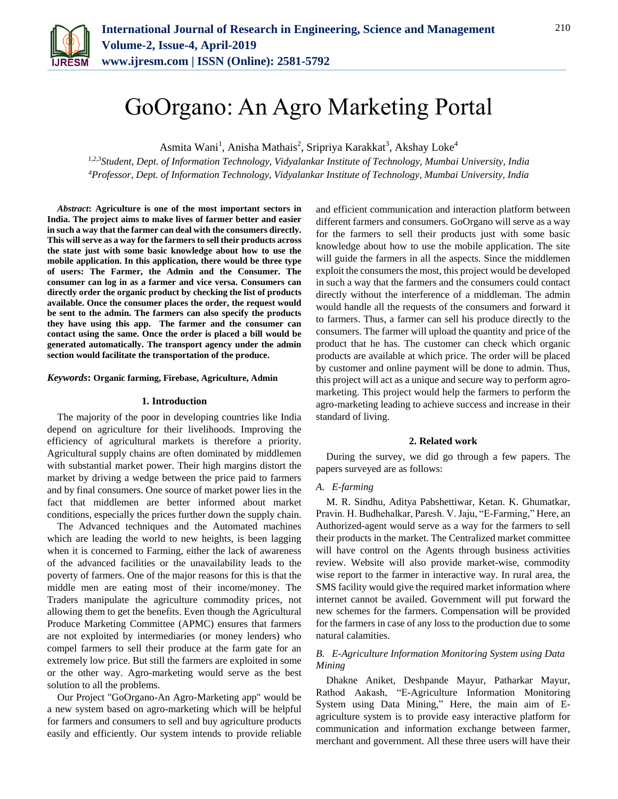

# GoOrgano: An Agro Marketing Portal

Asmita Wani<sup>1</sup>, Anisha Mathais<sup>2</sup>, Sripriya Karakkat<sup>3</sup>, Akshay Loke<sup>4</sup>

*1,2,3Student, Dept. of Information Technology, Vidyalankar Institute of Technology, Mumbai University, India 4Professor, Dept. of Information Technology, Vidyalankar Institute of Technology, Mumbai University, India*

*Abstract***: Agriculture is one of the most important sectors in India. The project aims to make lives of farmer better and easier in such a way that the farmer can deal with the consumers directly. This will serve as a way for the farmers to sell their products across the state just with some basic knowledge about how to use the mobile application. In this application, there would be three type of users: The Farmer, the Admin and the Consumer. The consumer can log in as a farmer and vice versa. Consumers can directly order the organic product by checking the list of products available. Once the consumer places the order, the request would be sent to the admin. The farmers can also specify the products they have using this app. The farmer and the consumer can contact using the same. Once the order is placed a bill would be generated automatically. The transport agency under the admin section would facilitate the transportation of the produce.** 

#### *Keywords***: Organic farming, Firebase, Agriculture, Admin**

#### **1. Introduction**

The majority of the poor in developing countries like India depend on agriculture for their livelihoods. Improving the efficiency of agricultural markets is therefore a priority. Agricultural supply chains are often dominated by middlemen with substantial market power. Their high margins distort the market by driving a wedge between the price paid to farmers and by final consumers. One source of market power lies in the fact that middlemen are better informed about market conditions, especially the prices further down the supply chain.

The Advanced techniques and the Automated machines which are leading the world to new heights, is been lagging when it is concerned to Farming, either the lack of awareness of the advanced facilities or the unavailability leads to the poverty of farmers. One of the major reasons for this is that the middle men are eating most of their income/money. The Traders manipulate the agriculture commodity prices, not allowing them to get the benefits. Even though the Agricultural Produce Marketing Committee (APMC) ensures that farmers are not exploited by intermediaries (or money lenders) who compel farmers to sell their produce at the farm gate for an extremely low price. But still the farmers are exploited in some or the other way. Agro-marketing would serve as the best solution to all the problems.

Our Project "GoOrgano-An Agro-Marketing app" would be a new system based on agro-marketing which will be helpful for farmers and consumers to sell and buy agriculture products easily and efficiently. Our system intends to provide reliable and efficient communication and interaction platform between different farmers and consumers. GoOrgano will serve as a way for the farmers to sell their products just with some basic knowledge about how to use the mobile application. The site will guide the farmers in all the aspects. Since the middlemen exploit the consumers the most, this project would be developed in such a way that the farmers and the consumers could contact directly without the interference of a middleman. The admin would handle all the requests of the consumers and forward it to farmers. Thus, a farmer can sell his produce directly to the consumers. The farmer will upload the quantity and price of the product that he has. The customer can check which organic products are available at which price. The order will be placed by customer and online payment will be done to admin. Thus, this project will act as a unique and secure way to perform agromarketing. This project would help the farmers to perform the agro-marketing leading to achieve success and increase in their standard of living.

#### **2. Related work**

During the survey, we did go through a few papers. The papers surveyed are as follows:

#### *A. E-farming*

M. R. Sindhu, Aditya Pabshettiwar, Ketan. K. Ghumatkar, Pravin. H. Budhehalkar, Paresh. V. Jaju, "E-Farming," Here, an Authorized-agent would serve as a way for the farmers to sell their products in the market. The Centralized market committee will have control on the Agents through business activities review. Website will also provide market-wise, commodity wise report to the farmer in interactive way. In rural area, the SMS facility would give the required market information where internet cannot be availed. Government will put forward the new schemes for the farmers. Compensation will be provided for the farmers in case of any loss to the production due to some natural calamities.

#### *B. E-Agriculture Information Monitoring System using Data Mining*

Dhakne Aniket, Deshpande Mayur, Patharkar Mayur, Rathod Aakash, "E-Agriculture Information Monitoring System using Data Mining," Here, the main aim of Eagriculture system is to provide easy interactive platform for communication and information exchange between farmer, merchant and government. All these three users will have their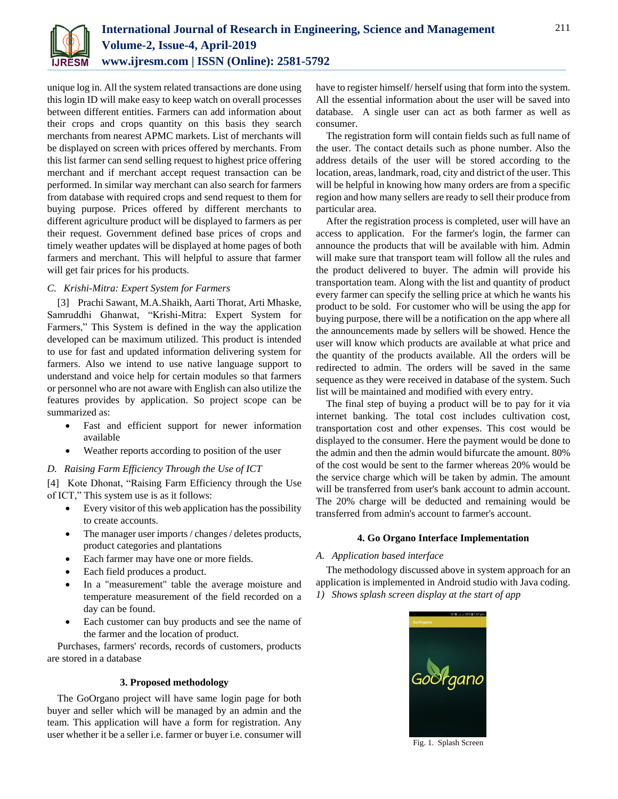

unique log in. All the system related transactions are done using this login ID will make easy to keep watch on overall processes between different entities. Farmers can add information about their crops and crops quantity on this basis they search merchants from nearest APMC markets. List of merchants will be displayed on screen with prices offered by merchants. From this list farmer can send selling request to highest price offering merchant and if merchant accept request transaction can be performed. In similar way merchant can also search for farmers from database with required crops and send request to them for buying purpose. Prices offered by different merchants to different agriculture product will be displayed to farmers as per their request. Government defined base prices of crops and timely weather updates will be displayed at home pages of both farmers and merchant. This will helpful to assure that farmer will get fair prices for his products.

## *C. Krishi-Mitra: Expert System for Farmers*

[3] Prachi Sawant, M.A.Shaikh, Aarti Thorat, Arti Mhaske, Samruddhi Ghanwat, "Krishi-Mitra: Expert System for Farmers," This System is defined in the way the application developed can be maximum utilized. This product is intended to use for fast and updated information delivering system for farmers. Also we intend to use native language support to understand and voice help for certain modules so that farmers or personnel who are not aware with English can also utilize the features provides by application. So project scope can be summarized as:

- Fast and efficient support for newer information available
- Weather reports according to position of the user
- *D. Raising Farm Efficiency Through the Use of ICT*

[4] Kote Dhonat, "Raising Farm Efficiency through the Use of ICT," This system use is as it follows:

- Every visitor of this web application has the possibility to create accounts.
- The manager user imports / changes / deletes products, product categories and plantations
- Each farmer may have one or more fields.
- Each field produces a product.
- In a "measurement" table the average moisture and temperature measurement of the field recorded on a day can be found.
- Each customer can buy products and see the name of the farmer and the location of product.

Purchases, farmers' records, records of customers, products are stored in a database

### **3. Proposed methodology**

The GoOrgano project will have same login page for both buyer and seller which will be managed by an admin and the team. This application will have a form for registration. Any user whether it be a seller i.e. farmer or buyer i.e. consumer will have to register himself/ herself using that form into the system. All the essential information about the user will be saved into database. A single user can act as both farmer as well as consumer.

The registration form will contain fields such as full name of the user. The contact details such as phone number. Also the address details of the user will be stored according to the location, areas, landmark, road, city and district of the user. This will be helpful in knowing how many orders are from a specific region and how many sellers are ready to sell their produce from particular area.

After the registration process is completed, user will have an access to application. For the farmer's login, the farmer can announce the products that will be available with him. Admin will make sure that transport team will follow all the rules and the product delivered to buyer. The admin will provide his transportation team. Along with the list and quantity of product every farmer can specify the selling price at which he wants his product to be sold. For customer who will be using the app for buying purpose, there will be a notification on the app where all the announcements made by sellers will be showed. Hence the user will know which products are available at what price and the quantity of the products available. All the orders will be redirected to admin. The orders will be saved in the same sequence as they were received in database of the system. Such list will be maintained and modified with every entry.

The final step of buying a product will be to pay for it via internet banking. The total cost includes cultivation cost, transportation cost and other expenses. This cost would be displayed to the consumer. Here the payment would be done to the admin and then the admin would bifurcate the amount. 80% of the cost would be sent to the farmer whereas 20% would be the service charge which will be taken by admin. The amount will be transferred from user's bank account to admin account. The 20% charge will be deducted and remaining would be transferred from admin's account to farmer's account.

### **4. Go Organo Interface Implementation**

### *A. Application based interface*

The methodology discussed above in system approach for an application is implemented in Android studio with Java coding. *1) Shows splash screen display at the start of app*



Fig. 1. Splash Screen